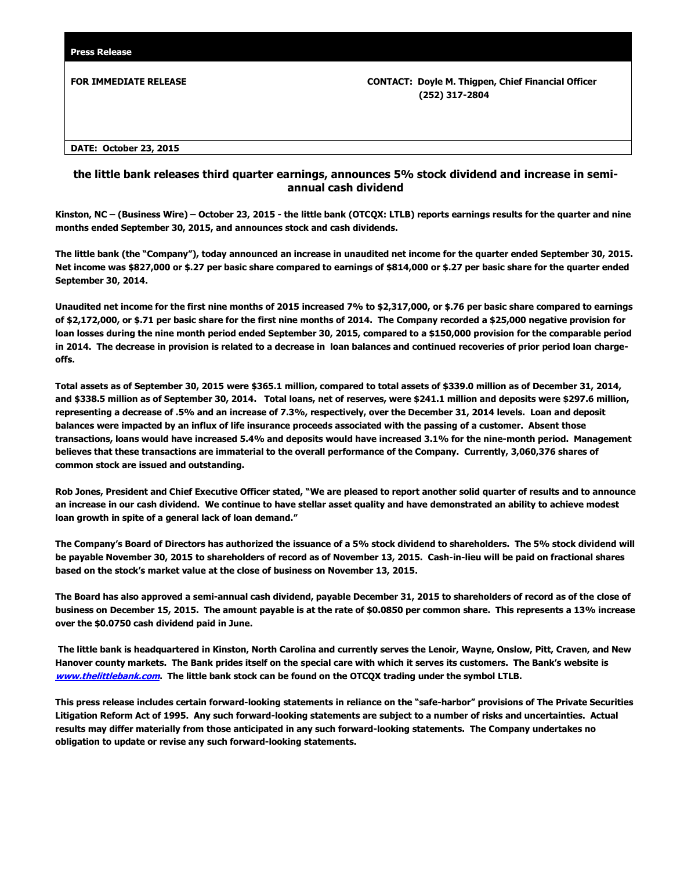**FOR IMMEDIATE RELEASE CONTACT: Doyle M. Thigpen, Chief Financial Officer (252) 317-2804**

**DATE: October 23, 2015**

## **the little bank releases third quarter earnings, announces 5% stock dividend and increase in semiannual cash dividend**

**Kinston, NC – (Business Wire) – October 23, 2015 - the little bank (OTCQX: LTLB) reports earnings results for the quarter and nine months ended September 30, 2015, and announces stock and cash dividends.**

**The little bank (the "Company"), today announced an increase in unaudited net income for the quarter ended September 30, 2015. Net income was \$827,000 or \$.27 per basic share compared to earnings of \$814,000 or \$.27 per basic share for the quarter ended September 30, 2014.** 

**Unaudited net income for the first nine months of 2015 increased 7% to \$2,317,000, or \$.76 per basic share compared to earnings of \$2,172,000, or \$.71 per basic share for the first nine months of 2014. The Company recorded a \$25,000 negative provision for loan losses during the nine month period ended September 30, 2015, compared to a \$150,000 provision for the comparable period in 2014. The decrease in provision is related to a decrease in loan balances and continued recoveries of prior period loan chargeoffs.**

**Total assets as of September 30, 2015 were \$365.1 million, compared to total assets of \$339.0 million as of December 31, 2014, and \$338.5 million as of September 30, 2014. Total loans, net of reserves, were \$241.1 million and deposits were \$297.6 million, representing a decrease of .5% and an increase of 7.3%, respectively, over the December 31, 2014 levels. Loan and deposit balances were impacted by an influx of life insurance proceeds associated with the passing of a customer. Absent those transactions, loans would have increased 5.4% and deposits would have increased 3.1% for the nine-month period. Management believes that these transactions are immaterial to the overall performance of the Company. Currently, 3,060,376 shares of common stock are issued and outstanding.** 

**Rob Jones, President and Chief Executive Officer stated, "We are pleased to report another solid quarter of results and to announce an increase in our cash dividend. We continue to have stellar asset quality and have demonstrated an ability to achieve modest loan growth in spite of a general lack of loan demand."**

**The Company's Board of Directors has authorized the issuance of a 5% stock dividend to shareholders. The 5% stock dividend will be payable November 30, 2015 to shareholders of record as of November 13, 2015. Cash-in-lieu will be paid on fractional shares based on the stock's market value at the close of business on November 13, 2015.** 

**The Board has also approved a semi-annual cash dividend, payable December 31, 2015 to shareholders of record as of the close of business on December 15, 2015. The amount payable is at the rate of \$0.0850 per common share. This represents a 13% increase over the \$0.0750 cash dividend paid in June.**

**The little bank is headquartered in Kinston, North Carolina and currently serves the Lenoir, Wayne, Onslow, Pitt, Craven, and New Hanover county markets. The Bank prides itself on the special care with which it serves its customers. The Bank's website is [www.thelittlebank.com](http://www.thelittlebank.com/). The little bank stock can be found on the OTCQX trading under the symbol LTLB.**

**This press release includes certain forward-looking statements in reliance on the "safe-harbor" provisions of The Private Securities Litigation Reform Act of 1995. Any such forward-looking statements are subject to a number of risks and uncertainties. Actual results may differ materially from those anticipated in any such forward-looking statements. The Company undertakes no obligation to update or revise any such forward-looking statements.**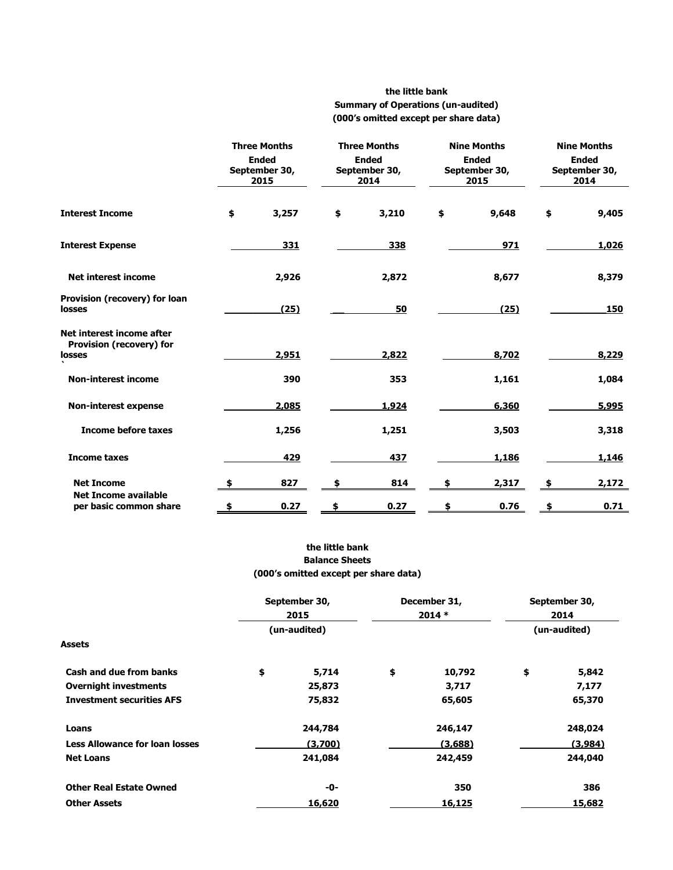## **the little bank Summary of Operations (un-audited) (000's omitted except per share data)**

|                                                                 | <b>Three Months</b><br><b>Ended</b><br>September 30,<br>2015 |       | <b>Three Months</b><br><b>Ended</b><br>September 30,<br>2014 |       | <b>Nine Months</b><br><b>Ended</b><br>September 30,<br>2015 |       | <b>Nine Months</b><br><b>Ended</b><br>September 30,<br>2014 |       |
|-----------------------------------------------------------------|--------------------------------------------------------------|-------|--------------------------------------------------------------|-------|-------------------------------------------------------------|-------|-------------------------------------------------------------|-------|
| <b>Interest Income</b>                                          | \$                                                           | 3,257 | \$                                                           | 3,210 | \$                                                          | 9,648 | \$                                                          | 9,405 |
| <b>Interest Expense</b>                                         |                                                              | 331   |                                                              | 338   |                                                             | 971   |                                                             | 1,026 |
| <b>Net interest income</b>                                      |                                                              | 2,926 |                                                              | 2,872 |                                                             | 8,677 |                                                             | 8,379 |
| Provision (recovery) for loan<br>losses                         |                                                              | (25)  |                                                              | 50    |                                                             | (25)  |                                                             | 150   |
| Net interest income after<br>Provision (recovery) for<br>losses |                                                              | 2,951 |                                                              | 2,822 |                                                             | 8,702 |                                                             | 8,229 |
| <b>Non-interest income</b>                                      |                                                              | 390   |                                                              | 353   |                                                             | 1,161 |                                                             | 1,084 |
| <b>Non-interest expense</b>                                     |                                                              | 2,085 |                                                              | 1,924 |                                                             | 6,360 |                                                             | 5,995 |
| <b>Income before taxes</b>                                      |                                                              | 1,256 |                                                              | 1,251 |                                                             | 3,503 |                                                             | 3,318 |
| <b>Income taxes</b>                                             |                                                              | 429   |                                                              | 437   |                                                             | 1,186 |                                                             | 1,146 |
| <b>Net Income</b>                                               | \$.                                                          | 827   | \$                                                           | 814   |                                                             | 2,317 | \$                                                          | 2,172 |
| <b>Net Income available</b><br>per basic common share           | \$                                                           | 0.27  | \$                                                           | 0.27  | \$                                                          | 0.76  | \$                                                          | 0.71  |

## **the little bank Balance Sheets (000's omitted except per share data)**

|                                       | September 30,<br>2015<br>(un-audited) |         | December 31,<br>$2014*$ |         | September 30,<br>2014 |         |
|---------------------------------------|---------------------------------------|---------|-------------------------|---------|-----------------------|---------|
|                                       |                                       |         |                         |         | (un-audited)          |         |
| Assets                                |                                       |         |                         |         |                       |         |
| <b>Cash and due from banks</b>        | \$                                    | 5,714   | \$                      | 10,792  | \$                    | 5,842   |
| <b>Overnight investments</b>          |                                       | 25,873  |                         | 3,717   |                       | 7,177   |
| <b>Investment securities AFS</b>      |                                       | 75,832  |                         | 65,605  |                       | 65,370  |
| <b>Loans</b>                          |                                       | 244,784 |                         | 246,147 |                       | 248,024 |
| <b>Less Allowance for loan losses</b> |                                       | (3,700) |                         | (3,688) |                       | (3,984) |
| <b>Net Loans</b>                      |                                       | 241,084 |                         | 242,459 |                       | 244,040 |
| <b>Other Real Estate Owned</b>        |                                       | -0-     |                         | 350     |                       | 386     |
| <b>Other Assets</b>                   |                                       | 16,620  |                         | 16,125  |                       | 15,682  |